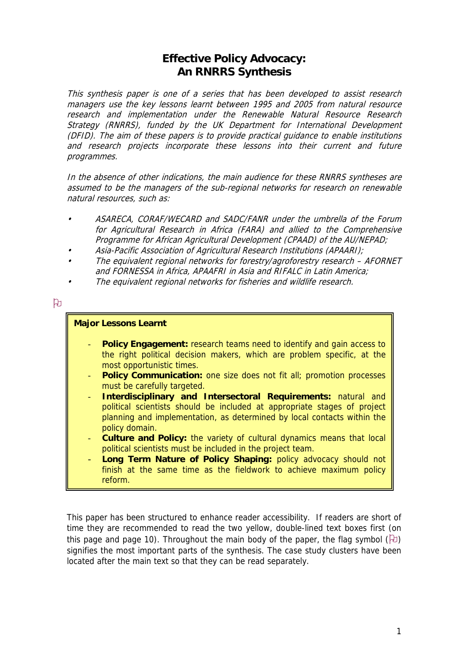# **Effective Policy Advocacy: An RNRRS Synthesis**

This synthesis paper is one of a series that has been developed to assist research managers use the key lessons learnt between 1995 and 2005 from natural resource research and implementation under the Renewable Natural Resource Research Strategy (RNRRS), funded by the UK Department for International Development (DFID). The aim of these papers is to provide practical guidance to enable institutions and research projects incorporate these lessons into their current and future programmes.

In the absence of other indications, the main audience for these RNRRS syntheses are natural resources, such as: assumed to be the managers of the sub-regional networks for research on renewable

- ASARECA, CORAF/WECARD and SADC/FANR under the umbrella of the Forum for Agricultural Research in Africa (FARA) and allied to the Comprehensive Programme for African Agricultural Development (CPAAD) of the AU/NEPAD;
- Asia-Pacific Association of Agricultural Research Institutions (APAARI);  $\,$
- The equivalent regional networks for forestry/agroforestry research AFORNET and FORNESSA in Africa, APAAFRI in Asia and RIFALC in Latin America;  $\,$
- The equivalent regional networks for fisheries and wildlife research.

# ਇ

## **Major Lessons Learnt**

- **Policy Engagement:** research teams need to identify and gain access to the right political decision makers, which are problem specific, at the most opportunistic times.
- **Policy Communication:** one size does not fit all; promotion processes must be carefully targeted.
- **Interdisciplinary and Intersectoral Requirements:** natural and political scientists should be included at appropriate stages of project planning and implementation, as determined by local contacts within the policy domain.
- **Culture and Policy:** the variety of cultural dynamics means that local political scientists must be included in the project team.
- Long Term Nature of Policy Shaping: policy advocacy should not finish at the same time as the fieldwork to achieve maximum policy reform.

This paper has been structured to enhance reader accessibility. If readers are short of time they are recommended to read the two yellow, double-lined text boxes first (on this page and page 10). Throughout the main body of the paper, the flag symbol ( $\boxdot$ ) signifies the most important parts of the synthesis. The case study clusters have been located after the main text so that they can be read separately.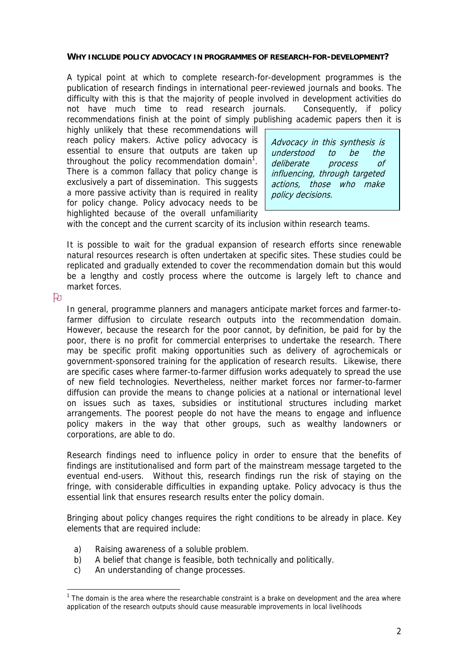#### **WHY INCLUDE POLICY ADVOCACY IN PROGRAMMES OF RESEARCH-FOR-DEVELOPMENT?**

A typical point at which to complete research-for-development programmes is the publication of research findings in international peer-reviewed journals and books. The difficulty with this is that the majority of people involved in development activities do not have much time to read research journals. Consequently, if policy recommendations finish at the point of simply publishing academic papers then it is

highly unlikely that these recommendations will reach policy makers. Active policy advocacy is essential to ensure that outputs are taken up throughout the policy recommendation domain<sup>1</sup>. There is a common fallacy that policy change is exclusively a part of dissemination. This suggests a more passive activity than is required in reality for policy change. Policy advocacy needs to be highlighted because of the overall unfamiliarity

Advocacy in this synthesis is understood to be the deliberate process of influencing, through targeted actions, those who make policy decisions.

with the concept and the current scarcity of its inclusion within research teams.

It is possible to wait for the gradual expansion of research efforts since renewable natural resources research is often undertaken at specific sites. These studies could be replicated and gradually extended to cover the recommendation domain but this would be a lengthy and costly process where the outcome is largely left to chance and market forces.

 $\mathfrak{p}_1$ 

 $\overline{a}$ 

In general, programme planners and managers anticipate market forces and farmer-tofarmer diffusion to circulate research outputs into the recommendation domain. However, because the research for the poor cannot, by definition, be paid for by the poor, there is no profit for commercial enterprises to undertake the research. There may be specific profit making opportunities such as delivery of agrochemicals or government-sponsored training for the application of research results. Likewise, there are specific cases where farmer-to-farmer diffusion works adequately to spread the use of new field technologies. Nevertheless, neither market forces nor farmer-to-farmer diffusion can provide the means to change policies at a national or international level on issues such as taxes, subsidies or institutional structures including market arrangements. The poorest people do not have the means to engage and influence policy makers in the way that other groups, such as wealthy landowners or corporations, are able to do.

Research findings need to influence policy in order to ensure that the benefits of findings are institutionalised and form part of the mainstream message targeted to the eventual end-users. Without this, research findings run the risk of staying on the fringe, with considerable difficulties in expanding uptake. Policy advocacy is thus the essential link that ensures research results enter the policy domain.

Bringing about policy changes requires the right conditions to be already in place. Key elements that are required include:

- a) Raising awareness of a soluble problem.
- b) A belief that change is feasible, both technically and politically.
- c) An understanding of change processes.

<span id="page-1-0"></span><sup>&</sup>lt;sup>1</sup> The domain is the area where the researchable constraint is a brake on development and the area where application of the research outputs should cause measurable improvements in local livelihoods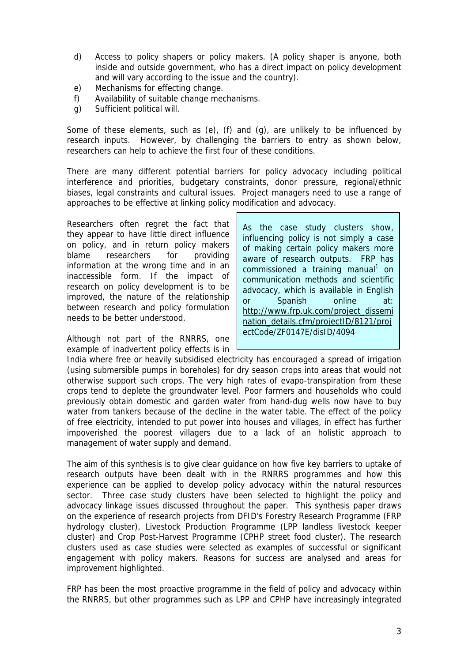- d) Access to policy shapers or policy makers. (A policy shaper is anyone, both inside and outside government, who has a direct impact on policy development and will vary according to the issue and the country).
- e) Mechanisms for effecting change.
- f) Availability of suitable change mechanisms.
- g) Sufficient political will.

Some of these elements, such as (e), (f) and (g), are unlikely to be influenced by research inputs. However, by challenging the barriers to entry as shown below, researchers can help to achieve the first four of these conditions.

There are many different potential barriers for policy advocacy including political interference and priorities, budgetary constraints, donor pressure, regional/ethnic biases, legal constraints and cultural issues. Project managers need to use a range of approaches to be effective at linking policy modification and advocacy.

Researchers often regret the fact that they appear to have little direct influence on policy, and in return policy makers blame researchers for providing information at the wrong time and in an inaccessible form. If the impact of research on policy development is to be improved, the nature of the relationship between research and policy formulation needs to be better understood.

Although not part of the RNRRS, one example of inadvertent policy effects is in

As the case study clusters show, influencing policy is not simply a case of making certain policy makers more aware of research outputs. FRP has commissioned a training manual<sup>1</sup> on communication methods and scientific advocacy, which is available in English or Spanish online at: [http://www.frp.uk.com/project\\_dissemi](http://www.frp.uk.com/project_dissemination_details.cfm/projectID/8121/projectCode/ZF0147E/disID/4094) [nation\\_details.cfm/projectID/8121/proj](http://www.frp.uk.com/project_dissemination_details.cfm/projectID/8121/projectCode/ZF0147E/disID/4094) [ectCode/ZF0147E/disID/4094](http://www.frp.uk.com/project_dissemination_details.cfm/projectID/8121/projectCode/ZF0147E/disID/4094)

India where free or heavily subsidised electricity has encouraged a spread of irrigation (using submersible pumps in boreholes) for dry season crops into areas that would not otherwise support such crops. The very high rates of evapo-transpiration from these crops tend to deplete the groundwater level. Poor farmers and households who could previously obtain domestic and garden water from hand-dug wells now have to buy water from tankers because of the decline in the water table. The effect of the policy of free electricity, intended to put power into houses and villages, in effect has further impoverished the poorest villagers due to a lack of an holistic approach to management of water supply and demand.

The aim of this synthesis is to give clear guidance on how five key barriers to uptake of research outputs have been dealt with in the RNRRS programmes and how this experience can be applied to develop policy advocacy within the natural resources sector. Three case study clusters have been selected to highlight the policy and advocacy linkage issues discussed throughout the paper. This synthesis paper draws on the experience of research projects from DFID's Forestry Research Programme (FRP hydrology cluster), Livestock Production Programme (LPP landless livestock keeper cluster) and Crop Post-Harvest Programme (CPHP street food cluster). The research clusters used as case studies were selected as examples of successful or significant engagement with policy makers. Reasons for success are analysed and areas for improvement highlighted.

FRP has been the most proactive programme in the field of policy and advocacy within the RNRRS, but other programmes such as LPP and CPHP have increasingly integrated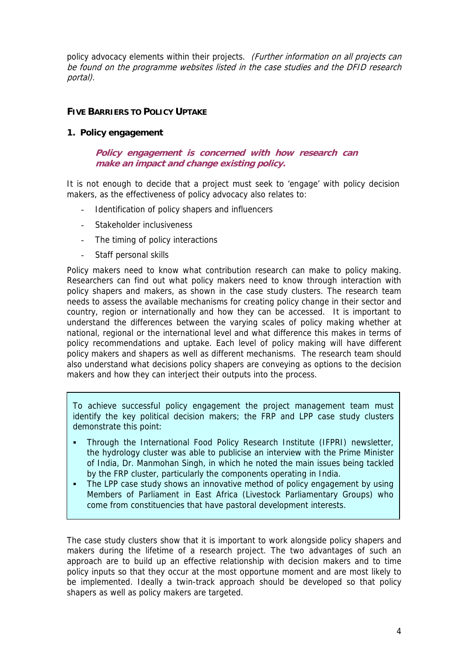policy advocacy elements within their projects. (Further information on all projects can be found on the programme websites listed in the case studies and the DFID research portal).

## **FIVE BARRIERS TO POLICY UPTAKE**

### **1. Policy engagement**

### **Policy engagement is concerned with how research can make an impact and change existing policy.**

It is not enough to decide that a project must seek to 'engage' with policy decision makers, as the effectiveness of policy advocacy also relates to:

- Identification of policy shapers and influencers
- Stakeholder inclusiveness
- The timing of policy interactions
- Staff personal skills

Policy makers need to know what contribution research can make to policy making. Researchers can find out what policy makers need to know through interaction with policy shapers and makers, as shown in the case study clusters. The research team needs to assess the available mechanisms for creating policy change in their sector and country, region or internationally and how they can be accessed. It is important to understand the differences between the varying scales of policy making whether at national, regional or the international level and what difference this makes in terms of policy recommendations and uptake. Each level of policy making will have different policy makers and shapers as well as different mechanisms. The research team should also understand what decisions policy shapers are conveying as options to the decision makers and how they can interject their outputs into the process.

To achieve successful policy engagement the project management team must identify the key political decision makers; the FRP and LPP case study clusters demonstrate this point:

- Through the International Food Policy Research Institute (IFPRI) newsletter, the hydrology cluster was able to publicise an interview with the Prime Minister of India, Dr. Manmohan Singh, in which he noted the main issues being tackled by the FRP cluster, particularly the components operating in India.
- The LPP case study shows an innovative method of policy engagement by using Members of Parliament in East Africa (Livestock Parliamentary Groups) who come from constituencies that have pastoral development interests.

The case study clusters show that it is important to work alongside policy shapers and makers during the lifetime of a research project. The two advantages of such an approach are to build up an effective relationship with decision makers and to time policy inputs so that they occur at the most opportune moment and are most likely to be implemented. Ideally a twin-track approach should be developed so that policy shapers as well as policy makers are targeted.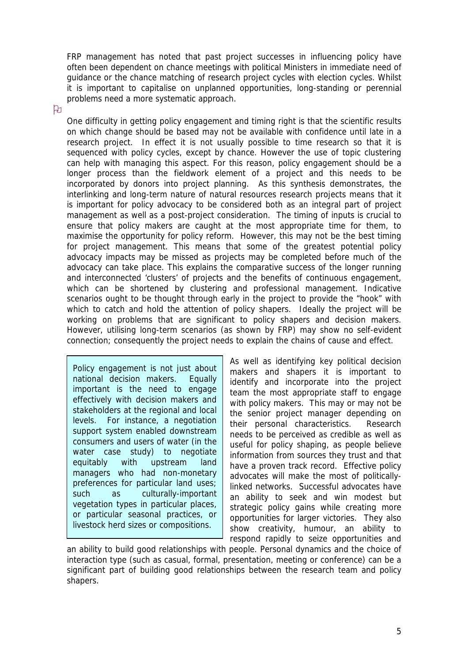FRP management has noted that past project successes in influencing policy have often been dependent on chance meetings with political Ministers in immediate need of guidance or the chance matching of research project cycles with election cycles. Whilst it is important to capitalise on unplanned opportunities, long-standing or perennial problems need a more systematic approach.

## ਇ

One difficulty in getting policy engagement and timing right is that the scientific results on which change should be based may not be available with confidence until late in a research project. In effect it is not usually possible to time research so that it is sequenced with policy cycles, except by chance. However the use of topic clustering can help with managing this aspect. For this reason, policy engagement should be a longer process than the fieldwork element of a project and this needs to be incorporated by donors into project planning. As this synthesis demonstrates, the interlinking and long-term nature of natural resources research projects means that it is important for policy advocacy to be considered both as an integral part of project management as well as a post-project consideration. The timing of inputs is crucial to ensure that policy makers are caught at the most appropriate time for them, to maximise the opportunity for policy reform. However, this may not be the best timing for project management. This means that some of the greatest potential policy advocacy impacts may be missed as projects may be completed before much of the advocacy can take place. This explains the comparative success of the longer running and interconnected 'clusters' of projects and the benefits of continuous engagement, which can be shortened by clustering and professional management. Indicative scenarios ought to be thought through early in the project to provide the "hook" with which to catch and hold the attention of policy shapers. Ideally the project will be working on problems that are significant to policy shapers and decision makers. However, utilising long-term scenarios (as shown by FRP) may show no self-evident connection; consequently the project needs to explain the chains of cause and effect.

Policy engagement is not just about national decision makers. Equally important is the need to engage effectively with decision makers and stakeholders at the regional and local levels. For instance, a negotiation support system enabled downstream consumers and users of water (in the water case study) to negotiate equitably with upstream land managers who had non-monetary preferences for particular land uses; such as culturally-important vegetation types in particular places, or particular seasonal practices, or livestock herd sizes or compositions.

As well as identifying key political decision makers and shapers it is important to identify and incorporate into the project team the most appropriate staff to engage with policy makers. This may or may not be the senior project manager depending on their personal characteristics. Research needs to be perceived as credible as well as useful for policy shaping, as people believe information from sources they trust and that have a proven track record. Effective policy advocates will make the most of politicallylinked networks. Successful advocates have an ability to seek and win modest but strategic policy gains while creating more opportunities for larger victories. They also show creativity, humour, an ability to respond rapidly to seize opportunities and

an ability to build good relationships with people. Personal dynamics and the choice of interaction type (such as casual, formal, presentation, meeting or conference) can be a significant part of building good relationships between the research team and policy shapers.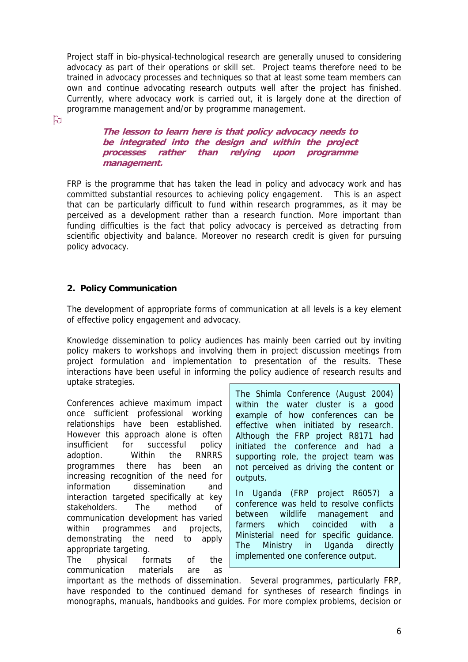Project staff in bio-physical-technological research are generally unused to considering advocacy as part of their operations or skill set. Project teams therefore need to be trained in advocacy processes and techniques so that at least some team members can own and continue advocating research outputs well after the project has finished. Currently, where advocacy work is carried out, it is largely done at the direction of programme management and/or by programme management.

ਇ

**The lesson to learn here is that policy advocacy needs to be integrated into the design and within the project processes rather than relying upon programme management.**

FRP is the programme that has taken the lead in policy and advocacy work and has committed substantial resources to achieving policy engagement. This is an aspect that can be particularly difficult to fund within research programmes, as it may be perceived as a development rather than a research function. More important than funding difficulties is the fact that policy advocacy is perceived as detracting from scientific objectivity and balance. Moreover no research credit is given for pursuing policy advocacy.

# **2. Policy Communication**

The development of appropriate forms of communication at all levels is a key element of effective policy engagement and advocacy.

Knowledge dissemination to policy audiences has mainly been carried out by inviting policy makers to workshops and involving them in project discussion meetings from project formulation and implementation to presentation of the results. These interactions have been useful in informing the policy audience of research results and uptake strategies.

Conferences achieve maximum impact once sufficient professional working relationships have been established. However this approach alone is often insufficient for successful policy adoption. Within the RNRRS programmes there has been an increasing recognition of the need for information dissemination and interaction targeted specifically at key stakeholders. The method of communication development has varied within programmes and projects, demonstrating the need to apply appropriate targeting.

The physical formats of the communication materials are as The Shimla Conference (August 2004) within the water cluster is a good example of how conferences can be effective when initiated by research. Although the FRP project R8171 had initiated the conference and had a supporting role, the project team was not perceived as driving the content or outputs.

In Uganda (FRP project R6057) a conference was held to resolve conflicts between wildlife management and farmers which coincided with a Ministerial need for specific guidance. The Ministry in Uganda directly implemented one conference output.

important as the methods of dissemination. Several programmes, particularly FRP, have responded to the continued demand for syntheses of research findings in monographs, manuals, handbooks and guides. For more complex problems, decision or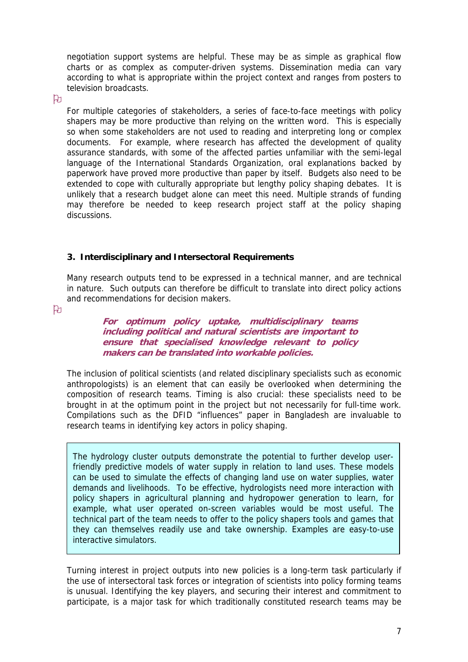negotiation support systems are helpful. These may be as simple as graphical flow charts or as complex as computer-driven systems. Dissemination media can vary according to what is appropriate within the project context and ranges from posters to television broadcasts.

## $\mathfrak{p}$

For multiple categories of stakeholders, a series of face-to-face meetings with policy shapers may be more productive than relying on the written word. This is especially so when some stakeholders are not used to reading and interpreting long or complex documents. For example, where research has affected the development of quality assurance standards, with some of the affected parties unfamiliar with the semi-legal language of the International Standards Organization, oral explanations backed by paperwork have proved more productive than paper by itself. Budgets also need to be extended to cope with culturally appropriate but lengthy policy shaping debates. It is unlikely that a research budget alone can meet this need. Multiple strands of funding may therefore be needed to keep research project staff at the policy shaping discussions.

## **3. Interdisciplinary and Intersectoral Requirements**

Many research outputs tend to be expressed in a technical manner, and are technical in nature. Such outputs can therefore be difficult to translate into direct policy actions and recommendations for decision makers.

ਇ

**For optimum policy uptake, multidisciplinary teams including political and natural scientists are important to** ensure that specialised knowledge relevant to policy **makers can be translated into workable policies .**

The inclusion of political scientists (and related disciplinary specialists such as economic anthropologists) is an element that can easily be overlooked when determining the composition of research teams. Timing is also crucial: these specialists need to be brought in at the optimum point in the project but not necessarily for full-time work. Compilations such as the DFID "influences" paper in Bangladesh are invaluable to research teams in identifying key actors in policy shaping.

The hydrology cluster outputs demonstrate the potential to further develop userfriendly predictive models of water supply in relation to land uses. These models can be used to simulate the effects of changing land use on water supplies, water demands and livelihoods. To be effective, hydrologists need more interaction with policy shapers in agricultural planning and hydropower generation to learn, for example, what user operated on-screen variables would be most useful. The technical part of the team needs to offer to the policy shapers tools and games that they can themselves readily use and take ownership. Examples are easy-to-use interactive simulators.

Turning interest in project outputs into new policies is a long-term task particularly if the use of intersectoral task forces or integration of scientists into policy forming teams is unusual. Identifying the key players, and securing their interest and commitment to participate, is a major task for which traditionally constituted research teams may be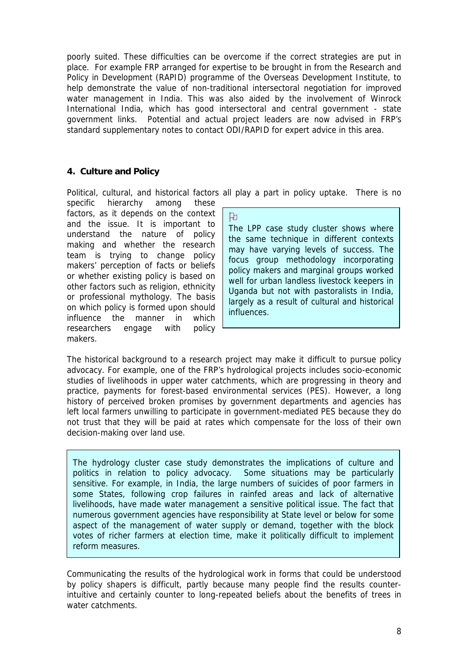poorly suited. These difficulties can be overcome if the correct strategies are put in place. For example FRP arranged for expertise to be brought in from the Research and Policy in Development (RAPID) programme of the Overseas Development Institute, to help demonstrate the value of non-traditional intersectoral negotiation for improved water management in India. This was also aided by the involvement of Winrock International India, which has good intersectoral and central government - state government links. Potential and actual project leaders are now advised in FRP's standard supplementary notes to contact ODI/RAPID for expert advice in this area.

# **4. Culture and Policy**

Political, cultural, and historical factors all play a part in policy uptake. There is no

 $\mathbb B$ 

specific hierarchy among these factors, as it depends on the context and the issue. It is important to understand the nature of policy making and whether the research team is trying to change policy makers' perception of facts or beliefs or whether existing policy is based on other factors such as religion, ethnicity or professional mythology. The basis on which policy is formed upon should influence the manner in which researchers engage with policy makers.

The LPP case study cluster shows where the same technique in different contexts may have varying levels of success. The focus group methodology incorporating policy makers and marginal groups worked well for urban landless livestock keepers in Uganda but not with pastoralists in India, largely as a result of cultural and historical influences.

The historical background to a research project may make it difficult to pursue policy advocacy. For example, one of the FRP's hydrological projects includes socio-economic studies of livelihoods in upper water catchments, which are progressing in theory and practice, payments for forest-based environmental services (PES). However, a long history of perceived broken promises by government departments and agencies has left local farmers unwilling to participate in government-mediated PES because they do not trust that they will be paid at rates which compensate for the loss of their own decision-making over land use.

The hydrology cluster case study demonstrates the implications of culture and politics in relation to policy advocacy. Some situations may be particularly sensitive. For example, in India, the large numbers of suicides of poor farmers in some States, following crop failures in rainfed areas and lack of alternative livelihoods, have made water management a sensitive political issue. The fact that numerous government agencies have responsibility at State level or below for some aspect of the management of water supply or demand, together with the block votes of richer farmers at election time, make it politically difficult to implement reform measures.

Communicating the results of the hydrological work in forms that could be understood by policy shapers is difficult, partly because many people find the results counterintuitive and certainly counter to long-repeated beliefs about the benefits of trees in water catchments.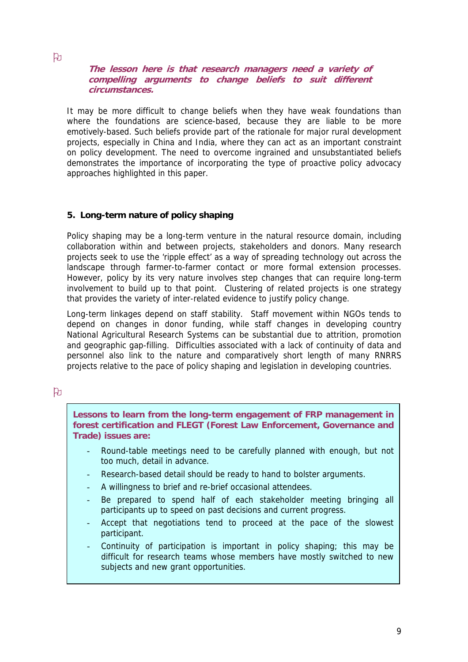**The lesson here is that research managers need a variety of compelling arguments to change beliefs to suit different circumstances.**

It may be more difficult to change beliefs when they have weak foundations than where the foundations are science-based, because they are liable to be more emotively-based. Such beliefs provide part of the rationale for major rural development projects, especially in China and India, where they can act as an important constraint on policy development. The need to overcome ingrained and unsubstantiated beliefs demonstrates the importance of incorporating the type of proactive policy advocacy approaches highlighted in this paper.

### **5. Long-term nature of policy shaping**

Policy shaping may be a long-term venture in the natural resource domain, including collaboration within and between projects, stakeholders and donors. Many research projects seek to use the 'ripple effect' as a way of spreading technology out across the landscape through farmer-to-farmer contact or more formal extension processes. However, policy by its very nature involves step changes that can require long-term involvement to build up to that point. Clustering of related projects is one strategy that provides the variety of inter-related evidence to justify policy change.

Long-term linkages depend on staff stability. Staff movement within NGOs tends to depend on changes in donor funding, while staff changes in developing country National Agricultural Research Systems can be substantial due to attrition, promotion and geographic gap-filling. Difficulties associated with a lack of continuity of data and personnel also link to the nature and comparatively short length of many RNRRS projects relative to the pace of policy shaping and legislation in developing countries.

### $\mathfrak{p}$

**Lessons to learn from the long-term engagement of FRP management in forest certification and FLEGT (Forest Law Enforcement, Governance and Trade) issues are:** 

- Round-table meetings need to be carefully planned with enough, but not too much, detail in advance.
- Research-based detail should be ready to hand to bolster arguments.
- A willingness to brief and re-brief occasional attendees.
- Be prepared to spend half of each stakeholder meeting bringing all participants up to speed on past decisions and current progress.
- Accept that negotiations tend to proceed at the pace of the slowest participant.
- Continuity of participation is important in policy shaping; this may be difficult for research teams whose members have mostly switched to new subjects and new grant opportunities.

### $\mathbf{p}$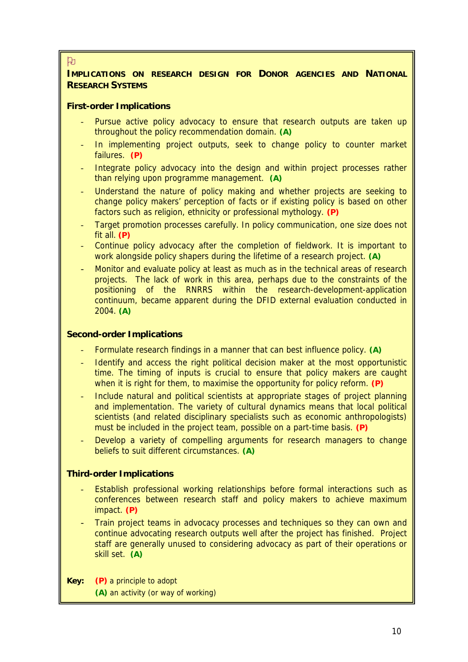### ਇ

## **IMPLICATIONS ON RESEARCH DESIGN FOR DONOR AGENCIES AND NATIONAL RESEARCH SYSTEMS**

### **First-order Implications**

- Pursue active policy advocacy to ensure that research outputs are taken up throughout the policy recommendation domain. **(A)**
- In implementing project outputs, seek to change policy to counter market failures. **(P)**
- Integrate policy advocacy into the design and within project processes rather than relying upon programme management. **(A)**
- Understand the nature of policy making and whether projects are seeking to change policy makers' perception of facts or if existing policy is based on other factors such as religion, ethnicity or professional mythology. **(P)**
- Target promotion processes carefully. In policy communication, one size does not fit all. **(P)**
- Continue policy advocacy after the completion of fieldwork. It is important to work alongside policy shapers during the lifetime of a research project. **(A)**
- Monitor and evaluate policy at least as much as in the technical areas of research projects. The lack of work in this area, perhaps due to the constraints of the positioning of the RNRRS within the research-development-application continuum, became apparent during the DFID external evaluation conducted in 2004. **(A)**

### **Second-order Implications**

- Formulate research findings in a manner that can best influence policy. **(A)**
- Identify and access the right political decision maker at the most opportunistic time. The timing of inputs is crucial to ensure that policy makers are caught when it is right for them, to maximise the opportunity for policy reform. **(P)**
- Include natural and political scientists at appropriate stages of project planning and implementation. The variety of cultural dynamics means that local political scientists (and related disciplinary specialists such as economic anthropologists) must be included in the project team, possible on a part-time basis. **(P)**
- Develop a variety of compelling arguments for research managers to change beliefs to suit different circumstances. **(A)**

### **Third-order Implications**

- Establish professional working relationships before formal interactions such as conferences between research staff and policy makers to achieve maximum impact. **(P)**
- Train project teams in advocacy processes and techniques so they can own and continue advocating research outputs well after the project has finished. Project staff are generally unused to considering advocacy as part of their operations or skill set. **(A)**
- **Key: (P)** a principle to adopt **(A)** an activity (or way of working)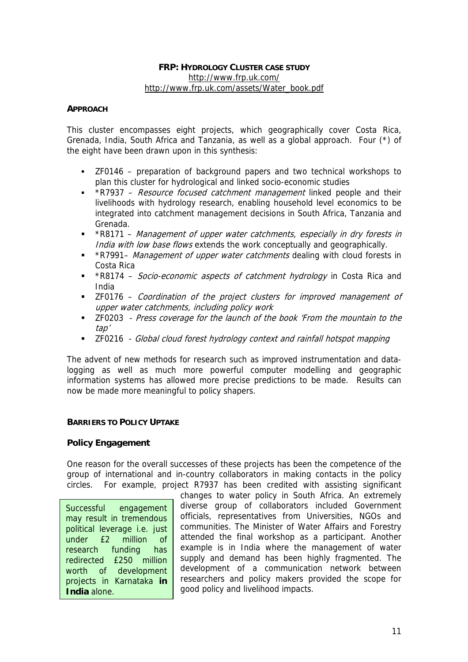### **FRP: HYDROLOGY CLUSTER CASE STUDY** <http://www.frp.uk.com/> [http://www.frp.uk.com/assets/Water\\_book.pdf](http://www.frp.uk.com/assets/Water_book.pdf)

### **APPROACH**

This cluster encompasses eight projects, which geographically cover Costa Rica, Grenada, India, South Africa and Tanzania, as well as a global approach. Four (\*) of the eight have been drawn upon in this synthesis:

- ZF0146 preparation of background papers and two technical workshops to plan this cluster for hydrological and linked socio-economic studies
- \*R7937 Resource focused catchment management linked people and their livelihoods with hydrology research, enabling household level economics to be integrated into catchment management decisions in South Africa, Tanzania and Grenada.
- \*R8171 Management of upper water catchments, especially in dry forests in India with low base flows extends the work conceptually and geographically.
- \*R7991– Management of upper water catchments dealing with cloud forests in Costa Rica
- \* \*R8174 Socio-economic aspects of catchment hydrology in Costa Rica and India
- **The 17 The Torn 20 and 1** and the project clusters for improved management of upper water catchments, including policy work
- **EXECOPE Press coverage for the launch of the book 'From the mountain to the** tap'
- **EXECOLLET Global cloud forest hydrology context and rainfall hotspot mapping**

The advent of new methods for research such as improved instrumentation and datalogging as well as much more powerful computer modelling and geographic information systems has allowed more precise predictions to be made. Results can now be made more meaningful to policy shapers.

### **BARRIERS TO POLICY UPTAKE**

### **Policy Engagement**

One reason for the overall successes of these projects has been the competence of the group of international and in-country collaborators in making contacts in the policy circles. For example, project R7937 has been credited with assisting significant

Successful engagement may result in tremendous political leverage i.e. just under £2 million of research funding has redirected £250 million worth of development projects in Karnataka **in India** alone.

changes to water policy in South Africa. An extremely diverse group of collaborators included Government officials, representatives from Universities, NGOs and communities. The Minister of Water Affairs and Forestry attended the final workshop as a participant. Another example is in India where the management of water supply and demand has been highly fragmented. The development of a communication network between researchers and policy makers provided the scope for good policy and livelihood impacts.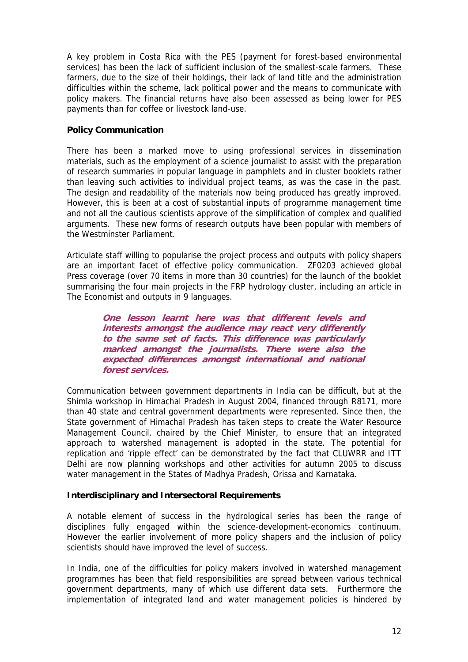A key problem in Costa Rica with the PES (payment for forest-based environmental services) has been the lack of sufficient inclusion of the smallest-scale farmers. These farmers, due to the size of their holdings, their lack of land title and the administration difficulties within the scheme, lack political power and the means to communicate with policy makers. The financial returns have also been assessed as being lower for PES payments than for coffee or livestock land-use.

### **Policy Communication**

There has been a marked move to using professional services in dissemination materials, such as the employment of a science journalist to assist with the preparation of research summaries in popular language in pamphlets and in cluster booklets rather than leaving such activities to individual project teams, as was the case in the past. The design and readability of the materials now being produced has greatly improved. However, this is been at a cost of substantial inputs of programme management time and not all the cautious scientists approve of the simplification of complex and qualified arguments. These new forms of research outputs have been popular with members of the Westminster Parliament.

Articulate staff willing to popularise the project process and outputs with policy shapers are an important facet of effective policy communication. ZF0203 achieved global Press coverage (over 70 items in more than 30 countries) for the launch of the booklet summarising the four main projects in the FRP hydrology cluster, including an article in The Economist and outputs in 9 languages.

> **One lesson learnt here was that different levels and interests amongst the audience may react very differently to the same set of facts. This difference was particularly marked amongst the journalists. There were also the** expected differences amongst international and national **forest services.**

Communication between government departments in India can be difficult, but at the Shimla workshop in Himachal Pradesh in August 2004, financed through R8171, more than 40 state and central government departments were represented. Since then, the State government of Himachal Pradesh has taken steps to create the Water Resource Management Council, chaired by the Chief Minister, to ensure that an integrated approach to watershed management is adopted in the state. The potential for replication and 'ripple effect' can be demonstrated by the fact that CLUWRR and ITT Delhi are now planning workshops and other activities for autumn 2005 to discuss water management in the States of Madhya Pradesh, Orissa and Karnataka.

### **Interdisciplinary and Intersectoral Requirements**

A notable element of success in the hydrological series has been the range of disciplines fully engaged within the science-development-economics continuum. However the earlier involvement of more policy shapers and the inclusion of policy scientists should have improved the level of success.

In India, one of the difficulties for policy makers involved in watershed management programmes has been that field responsibilities are spread between various technical government departments, many of which use different data sets. Furthermore the implementation of integrated land and water management policies is hindered by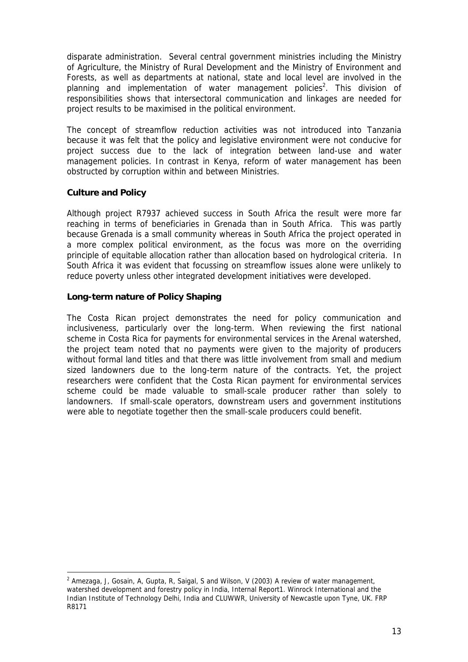disparate administration. Several central government ministries including the Ministry of Agriculture, the Ministry of Rural Development and the Ministry of Environment and Forests, as well as departments at national, state and local level are involved in the planning and implementation of water management policies<sup>[2](#page-12-0)</sup>. This division of responsibilities shows that intersectoral communication and linkages are needed for project results to be maximised in the political environment.

The concept of streamflow reduction activities was not introduced into Tanzania because it was felt that the policy and legislative environment were not conducive for project success due to the lack of integration between land-use and water management policies. In contrast in Kenya, reform of water management has been obstructed by corruption within and between Ministries.

## **Culture and Policy**

 $\overline{a}$ 

Although project R7937 achieved success in South Africa the result were more far reaching in terms of beneficiaries in Grenada than in South Africa. This was partly because Grenada is a small community whereas in South Africa the project operated in a more complex political environment, as the focus was more on the overriding principle of equitable allocation rather than allocation based on hydrological criteria. In South Africa it was evident that focussing on streamflow issues alone were unlikely to reduce poverty unless other integrated development initiatives were developed.

### **Long-term nature of Policy Shaping**

The Costa Rican project demonstrates the need for policy communication and inclusiveness, particularly over the long-term. When reviewing the first national scheme in Costa Rica for payments for environmental services in the Arenal watershed, the project team noted that no payments were given to the majority of producers without formal land titles and that there was little involvement from small and medium sized landowners due to the long-term nature of the contracts. Yet, the project researchers were confident that the Costa Rican payment for environmental services scheme could be made valuable to small-scale producer rather than solely to landowners. If small-scale operators, downstream users and government institutions were able to negotiate together then the small-scale producers could benefit.

<span id="page-12-0"></span><sup>&</sup>lt;sup>2</sup> Amezaga, J, Gosain, A, Gupta, R, Saigal, S and Wilson, V (2003) A review of water management, watershed development and forestry policy in India, Internal Report1. Winrock International and the Indian Institute of Technology Delhi, India and CLUWWR, University of Newcastle upon Tyne, UK. FRP R8171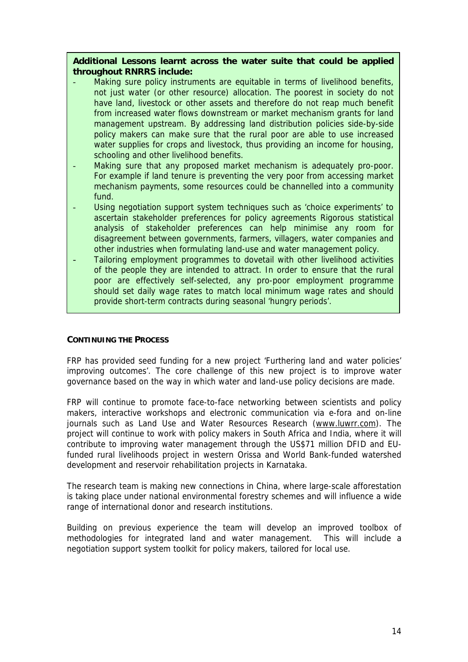**Additional Lessons learnt across the water suite that could be applied throughout RNRRS include:** 

- Making sure policy instruments are equitable in terms of livelihood benefits, not just water (or other resource) allocation. The poorest in society do not have land, livestock or other assets and therefore do not reap much benefit from increased water flows downstream or market mechanism grants for land management upstream. By addressing land distribution policies side-by-side policy makers can make sure that the rural poor are able to use increased water supplies for crops and livestock, thus providing an income for housing, schooling and other livelihood benefits.
- Making sure that any proposed market mechanism is adequately pro-poor. For example if land tenure is preventing the very poor from accessing market mechanism payments, some resources could be channelled into a community fund.
- Using negotiation support system techniques such as 'choice experiments' to ascertain stakeholder preferences for policy agreements Rigorous statistical analysis of stakeholder preferences can help minimise any room for disagreement between governments, farmers, villagers, water companies and other industries when formulating land-use and water management policy.
- Tailoring employment programmes to dovetail with other livelihood activities of the people they are intended to attract. In order to ensure that the rural poor are effectively self-selected, any pro-poor employment programme should set daily wage rates to match local minimum wage rates and should provide short-term contracts during seasonal 'hungry periods'.

### **CONTINUING THE PROCESS**

FRP has provided seed funding for a new project 'Furthering land and water policies' improving outcomes'. The core challenge of this new project is to improve water governance based on the way in which water and land-use policy decisions are made.

FRP will continue to promote face-to-face networking between scientists and policy makers, interactive workshops and electronic communication via e-fora and on-line journals such as Land Use and Water Resources Research ([www.luwrr.com\)](http://www.luwrr.com/). The project will continue to work with policy makers in South Africa and India, where it will contribute to improving water management through the US\$71 million DFID and EUfunded rural livelihoods project in western Orissa and World Bank-funded watershed development and reservoir rehabilitation projects in Karnataka.

The research team is making new connections in China, where large-scale afforestation is taking place under national environmental forestry schemes and will influence a wide range of international donor and research institutions.

Building on previous experience the team will develop an improved toolbox of methodologies for integrated land and water management. This will include a negotiation support system toolkit for policy makers, tailored for local use.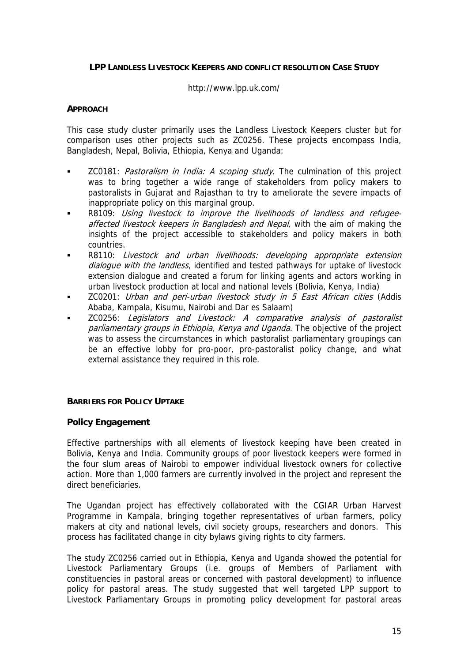#### **LPP LANDLESS LIVESTOCK KEEPERS AND CONFLICT RESOLUTION CASE STUDY**

#### http://www.lpp.uk.com/

#### **APPROACH**

This case study cluster primarily uses the Landless Livestock Keepers cluster but for comparison uses other projects such as ZC0256. These projects encompass India, Bangladesh, Nepal, Bolivia, Ethiopia, Kenya and Uganda:

- ZC0181: Pastoralism in India: A scoping study. The culmination of this project was to bring together a wide range of stakeholders from policy makers to pastoralists in Gujarat and Rajasthan to try to ameliorate the severe impacts of inappropriate policy on this marginal group.
- **R8109: Using livestock to improve the livelihoods of landless and refugee**affected livestock keepers in Bangladesh and Nepal, with the aim of making the insights of the project accessible to stakeholders and policy makers in both countries.
- R8110: Livestock and urban livelihoods: developing appropriate extension dialogue with the landless, identified and tested pathways for uptake of livestock extension dialogue and created a forum for linking agents and actors working in urban livestock production at local and national levels (Bolivia, Kenya, India)
- **EXECO201:** Urban and peri-urban livestock study in 5 East African cities (Addis Ababa, Kampala, Kisumu, Nairobi and Dar es Salaam)
- parliamentary groups in Ethiopia, Kenya and Uganda. The objective of the project ZC0256: Legislators and Livestock: A comparative analysis of pastoralist was to assess the circumstances in which pastoralist parliamentary groupings can be an effective lobby for pro-poor, pro-pastoralist policy change, and what external assistance they required in this role.

#### **BARRIERS FOR POLICY UPTAKE**

### **Policy Engagement**

Effective partnerships with all elements of livestock keeping have been created in Bolivia, Kenya and India. Community groups of poor livestock keepers were formed in the four slum areas of Nairobi to empower individual livestock owners for collective action. More than 1,000 farmers are currently involved in the project and represent the direct beneficiaries.

The Ugandan project has effectively collaborated with the CGIAR Urban Harvest Programme in Kampala, bringing together representatives of urban farmers, policy makers at city and national levels, civil society groups, researchers and donors. This process has facilitated change in city bylaws giving rights to city farmers.

The study ZC0256 carried out in Ethiopia, Kenya and Uganda showed the potential for Livestock Parliamentary Groups (i.e. groups of Members of Parliament with constituencies in pastoral areas or concerned with pastoral development) to influence policy for pastoral areas. The study suggested that well targeted LPP support to Livestock Parliamentary Groups in promoting policy development for pastoral areas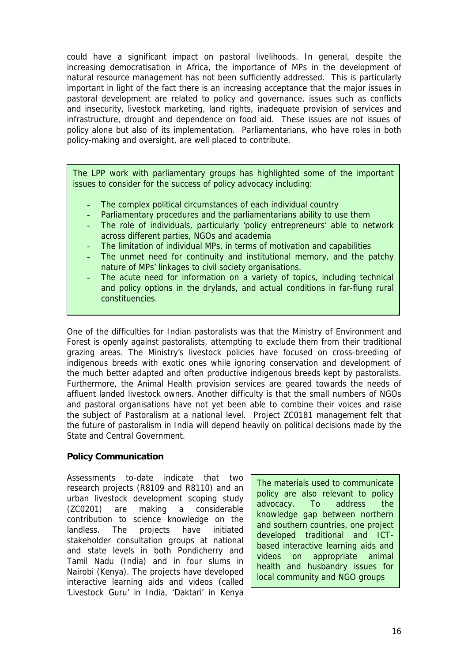could have a significant impact on pastoral livelihoods. In general, despite the increasing democratisation in Africa, the importance of MPs in the development of natural resource management has not been sufficiently addressed. This is particularly important in light of the fact there is an increasing acceptance that the major issues in pastoral development are related to policy and governance, issues such as conflicts and insecurity, livestock marketing, land rights, inadequate provision of services and infrastructure, drought and dependence on food aid. These issues are not issues of policy alone but also of its implementation. Parliamentarians, who have roles in both policy-making and oversight, are well placed to contribute.

The LPP work with parliamentary groups has highlighted some of the important issues to consider for the success of policy advocacy including:

- The complex political circumstances of each individual country
- Parliamentary procedures and the parliamentarians ability to use them
- The role of individuals, particularly 'policy entrepreneurs' able to network across different parties, NGOs and academia
- The limitation of individual MPs, in terms of motivation and capabilities
- The unmet need for continuity and institutional memory, and the patchy nature of MPs' linkages to civil society organisations.
- The acute need for information on a variety of topics, including technical and policy options in the drylands, and actual conditions in far-flung rural constituencies.

One of the difficulties for Indian pastoralists was that the Ministry of Environment and Forest is openly against pastoralists, attempting to exclude them from their traditional grazing areas. The Ministry's livestock policies have focused on cross-breeding of indigenous breeds with exotic ones while ignoring conservation and development of the much better adapted and often productive indigenous breeds kept by pastoralists. Furthermore, the Animal Health provision services are geared towards the needs of affluent landed livestock owners. Another difficulty is that the small numbers of NGOs and pastoral organisations have not yet been able to combine their voices and raise the subject of Pastoralism at a national level. Project ZC0181 management felt that the future of pastoralism in India will depend heavily on political decisions made by the State and Central Government.

## **Policy Communication**

Assessments to-date indicate that two research projects (R8109 and R8110) and an urban livestock development scoping study (ZC0201) are making a considerable contribution to science knowledge on the landless. The projects have initiated stakeholder consultation groups at national and state levels in both Pondicherry and Tamil Nadu (India) and in four slums in Nairobi (Kenya). The projects have developed interactive learning aids and videos (called 'Livestock Guru' in India, 'Daktari' in Kenya

The materials used to communicate policy are also relevant to policy advocacy. To address the knowledge gap between northern and southern countries, one project developed traditional and ICTbased interactive learning aids and videos on appropriate animal health and husbandry issues for local community and NGO groups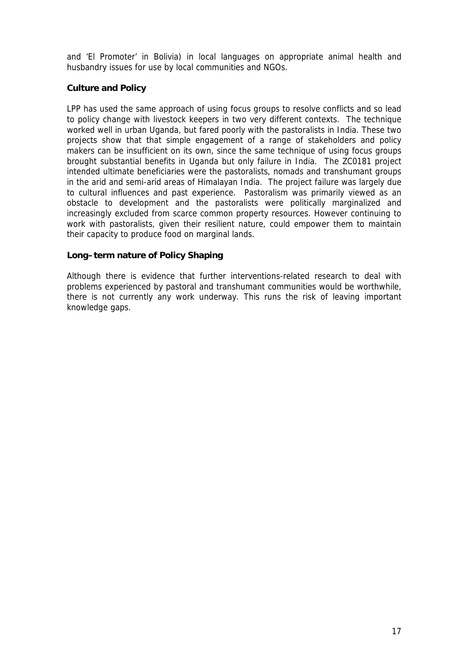and 'El Promoter' in Bolivia) in local languages on appropriate animal health and husbandry issues for use by local communities and NGOs.

### **Culture and Policy**

LPP has used the same approach of using focus groups to resolve conflicts and so lead to policy change with livestock keepers in two very different contexts. The technique worked well in urban Uganda, but fared poorly with the pastoralists in India. These two projects show that that simple engagement of a range of stakeholders and policy makers can be insufficient on its own, since the same technique of using focus groups brought substantial benefits in Uganda but only failure in India. The ZC0181 project intended ultimate beneficiaries were the pastoralists, nomads and transhumant groups in the arid and semi-arid areas of Himalayan India. The project failure was largely due to cultural influences and past experience. Pastoralism was primarily viewed as an obstacle to development and the pastoralists were politically marginalized and increasingly excluded from scarce common property resources. However continuing to work with pastoralists, given their resilient nature, could empower them to maintain their capacity to produce food on marginal lands.

### **Long–term nature of Policy Shaping**

Although there is evidence that further interventions-related research to deal with problems experienced by pastoral and transhumant communities would be worthwhile, there is not currently any work underway. This runs the risk of leaving important knowledge gaps.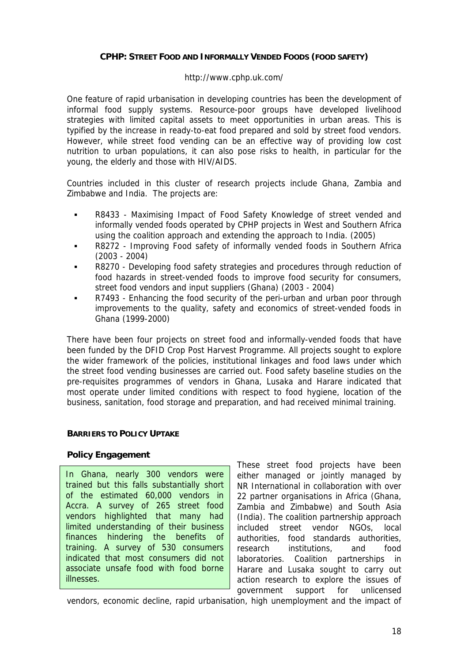### **CPHP: STREET FOOD AND INFORMALLY VENDED FOODS (FOOD SAFETY)**

### http://www.cphp.uk.com/

One feature of rapid urbanisation in developing countries has been the development of informal food supply systems. Resource-poor groups have developed livelihood strategies with limited capital assets to meet opportunities in urban areas. This is typified by the increase in ready-to-eat food prepared and sold by street food vendors. However, while street food vending can be an effective way of providing low cost nutrition to urban populations, it can also pose risks to health, in particular for the young, the elderly and those with HIV/AIDS.

Countries included in this cluster of research projects include Ghana, Zambia and Zimbabwe and India. The projects are:

- R8433 Maximising Impact of Food Safety Knowledge of street vended and informally vended foods operated by CPHP projects in West and Southern Africa using the coalition approach and extending the approach to India. (2005)
- R8272 Improving Food safety of informally vended foods in Southern Africa (2003 - 2004)
- R8270 Developing food safety strategies and procedures through reduction of food hazards in street-vended foods to improve food security for consumers, street food vendors and input suppliers (Ghana) (2003 - 2004)
- R7493 Enhancing the food security of the peri-urban and urban poor through improvements to the quality, safety and economics of street-vended foods in Ghana (1999-2000)

There have been four projects on street food and informally-vended foods that have been funded by the DFID Crop Post Harvest Programme. All projects sought to explore the wider framework of the policies, institutional linkages and food laws under which the street food vending businesses are carried out. Food safety baseline studies on the pre-requisites programmes of vendors in Ghana, Lusaka and Harare indicated that most operate under limited conditions with respect to food hygiene, location of the business, sanitation, food storage and preparation, and had received minimal training.

### **BARRIERS TO POLICY UPTAKE**

### **Policy Engagement**

In Ghana, nearly 300 vendors were trained but this falls substantially short of the estimated 60,000 vendors in Accra. A survey of 265 street food vendors highlighted that many had limited understanding of their business finances hindering the benefits of training. A survey of 530 consumers indicated that most consumers did not associate unsafe food with food borne illnesses.

These street food projects have been either managed or jointly managed by NR International in collaboration with over 22 partner organisations in Africa (Ghana, Zambia and Zimbabwe) and South Asia (India). The coalition partnership approach included street vendor NGOs, local authorities, food standards authorities, research institutions, and food laboratories. Coalition partnerships in Harare and Lusaka sought to carry out action research to explore the issues of government support for unlicensed

vendors, economic decline, rapid urbanisation, high unemployment and the impact of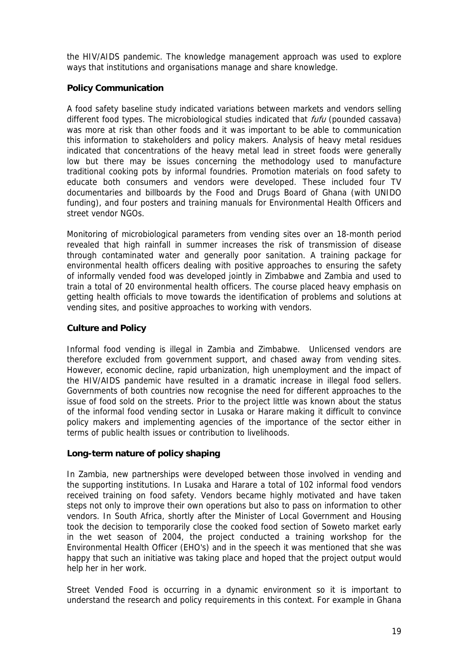the HIV/AIDS pandemic. The knowledge management approach was used to explore ways that institutions and organisations manage and share knowledge.

### **Policy Communication**

A food safety baseline study indicated variations between markets and vendors selling different food types. The microbiological studies indicated that *fufu* (pounded cassava) was more at risk than other foods and it was important to be able to communication this information to stakeholders and policy makers. Analysis of heavy metal residues indicated that concentrations of the heavy metal lead in street foods were generally low but there may be issues concerning the methodology used to manufacture traditional cooking pots by informal foundries. Promotion materials on food safety to educate both consumers and vendors were developed. These included four TV documentaries and billboards by the Food and Drugs Board of Ghana (with UNIDO funding), and four posters and training manuals for Environmental Health Officers and street vendor NGOs.

Monitoring of microbiological parameters from vending sites over an 18-month period revealed that high rainfall in summer increases the risk of transmission of disease through contaminated water and generally poor sanitation. A training package for environmental health officers dealing with positive approaches to ensuring the safety of informally vended food was developed jointly in Zimbabwe and Zambia and used to train a total of 20 environmental health officers. The course placed heavy emphasis on getting health officials to move towards the identification of problems and solutions at vending sites, and positive approaches to working with vendors.

### **Culture and Policy**

Informal food vending is illegal in Zambia and Zimbabwe. Unlicensed vendors are therefore excluded from government support, and chased away from vending sites. However, economic decline, rapid urbanization, high unemployment and the impact of the HIV/AIDS pandemic have resulted in a dramatic increase in illegal food sellers. Governments of both countries now recognise the need for different approaches to the issue of food sold on the streets. Prior to the project little was known about the status of the informal food vending sector in Lusaka or Harare making it difficult to convince policy makers and implementing agencies of the importance of the sector either in terms of public health issues or contribution to livelihoods.

### **Long-term nature of policy shaping**

In Zambia, new partnerships were developed between those involved in vending and the supporting institutions. In Lusaka and Harare a total of 102 informal food vendors received training on food safety. Vendors became highly motivated and have taken steps not only to improve their own operations but also to pass on information to other vendors. In South Africa, shortly after the Minister of Local Government and Housing took the decision to temporarily close the cooked food section of Soweto market early in the wet season of 2004, the project conducted a training workshop for the Environmental Health Officer (EHO's) and in the speech it was mentioned that she was happy that such an initiative was taking place and hoped that the project output would help her in her work.

Street Vended Food is occurring in a dynamic environment so it is important to understand the research and policy requirements in this context. For example in Ghana